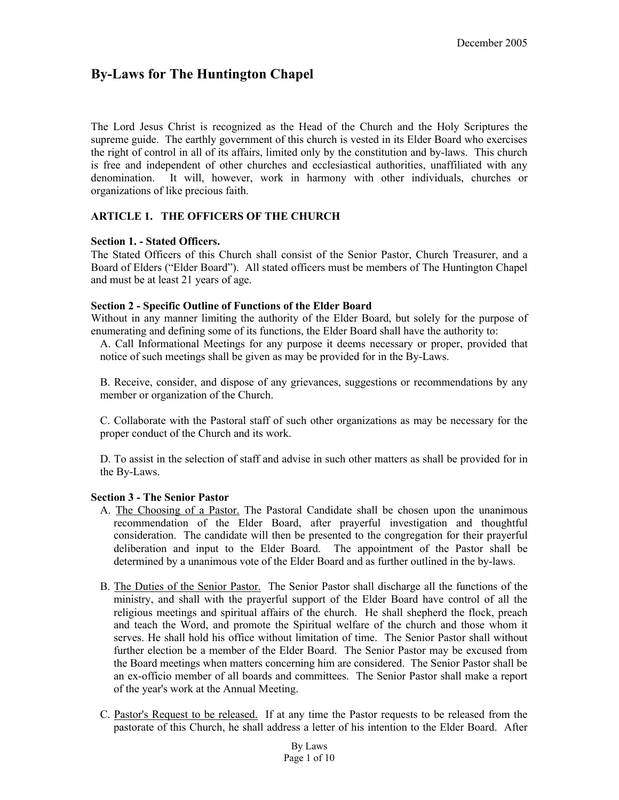# **By-Laws for The Huntington Chapel**

The Lord Jesus Christ is recognized as the Head of the Church and the Holy Scriptures the supreme guide. The earthly government of this church is vested in its Elder Board who exercises the right of control in all of its affairs, limited only by the constitution and by-laws. This church is free and independent of other churches and ecclesiastical authorities, unaffiliated with any denomination. It will, however, work in harmony with other individuals, churches or organizations of like precious faith.

### **ARTICLE 1. THE OFFICERS OF THE CHURCH**

### **Section 1. - Stated Officers.**

The Stated Officers of this Church shall consist of the Senior Pastor, Church Treasurer, and a Board of Elders ("Elder Board"). All stated officers must be members of The Huntington Chapel and must be at least 21 years of age.

### **Section 2 - Specific Outline of Functions of the Elder Board**

Without in any manner limiting the authority of the Elder Board, but solely for the purpose of enumerating and defining some of its functions, the Elder Board shall have the authority to:

A. Call Informational Meetings for any purpose it deems necessary or proper, provided that notice of such meetings shall be given as may be provided for in the By-Laws.

B. Receive, consider, and dispose of any grievances, suggestions or recommendations by any member or organization of the Church.

C. Collaborate with the Pastoral staff of such other organizations as may be necessary for the proper conduct of the Church and its work.

D. To assist in the selection of staff and advise in such other matters as shall be provided for in the By-Laws.

### **Section 3 - The Senior Pastor**

- A. The Choosing of a Pastor. The Pastoral Candidate shall be chosen upon the unanimous recommendation of the Elder Board, after prayerful investigation and thoughtful consideration. The candidate will then be presented to the congregation for their prayerful deliberation and input to the Elder Board. The appointment of the Pastor shall be determined by a unanimous vote of the Elder Board and as further outlined in the by-laws.
- B. The Duties of the Senior Pastor. The Senior Pastor shall discharge all the functions of the ministry, and shall with the prayerful support of the Elder Board have control of all the religious meetings and spiritual affairs of the church. He shall shepherd the flock, preach and teach the Word, and promote the Spiritual welfare of the church and those whom it serves. He shall hold his office without limitation of time. The Senior Pastor shall without further election be a member of the Elder Board. The Senior Pastor may be excused from the Board meetings when matters concerning him are considered. The Senior Pastor shall be an ex-officio member of all boards and committees. The Senior Pastor shall make a report of the year's work at the Annual Meeting.
- C. Pastor's Request to be released. If at any time the Pastor requests to be released from the pastorate of this Church, he shall address a letter of his intention to the Elder Board. After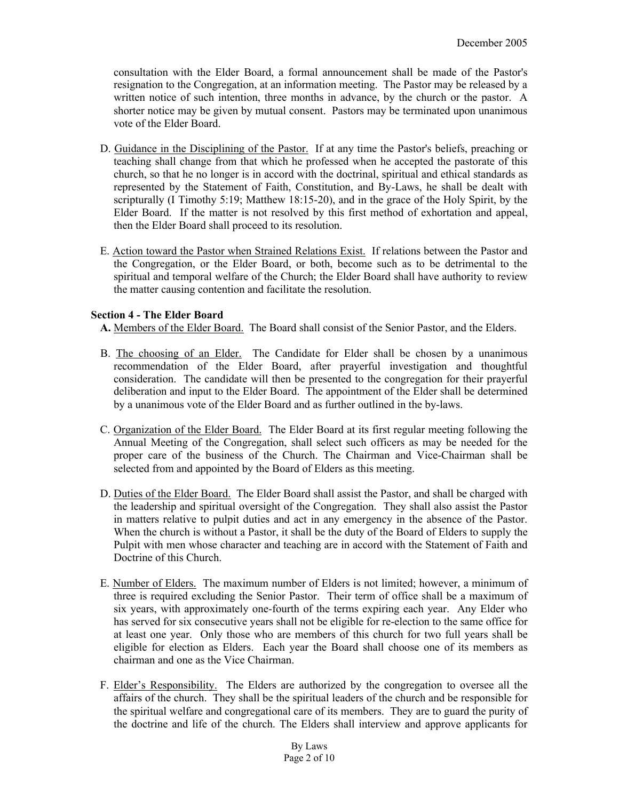consultation with the Elder Board, a formal announcement shall be made of the Pastor's resignation to the Congregation, at an information meeting. The Pastor may be released by a written notice of such intention, three months in advance, by the church or the pastor. A shorter notice may be given by mutual consent. Pastors may be terminated upon unanimous vote of the Elder Board.

- D. Guidance in the Disciplining of the Pastor. If at any time the Pastor's beliefs, preaching or teaching shall change from that which he professed when he accepted the pastorate of this church, so that he no longer is in accord with the doctrinal, spiritual and ethical standards as represented by the Statement of Faith, Constitution, and By-Laws, he shall be dealt with scripturally (I Timothy 5:19; Matthew 18:15-20), and in the grace of the Holy Spirit, by the Elder Board. If the matter is not resolved by this first method of exhortation and appeal, then the Elder Board shall proceed to its resolution.
- E. Action toward the Pastor when Strained Relations Exist. If relations between the Pastor and the Congregation, or the Elder Board, or both, become such as to be detrimental to the spiritual and temporal welfare of the Church; the Elder Board shall have authority to review the matter causing contention and facilitate the resolution.

# **Section 4 - The Elder Board**

**A.** Members of the Elder Board. The Board shall consist of the Senior Pastor, and the Elders.

- B. The choosing of an Elder. The Candidate for Elder shall be chosen by a unanimous recommendation of the Elder Board, after prayerful investigation and thoughtful consideration. The candidate will then be presented to the congregation for their prayerful deliberation and input to the Elder Board. The appointment of the Elder shall be determined by a unanimous vote of the Elder Board and as further outlined in the by-laws.
- C. Organization of the Elder Board. The Elder Board at its first regular meeting following the Annual Meeting of the Congregation, shall select such officers as may be needed for the proper care of the business of the Church. The Chairman and Vice-Chairman shall be selected from and appointed by the Board of Elders as this meeting.
- D. Duties of the Elder Board. The Elder Board shall assist the Pastor, and shall be charged with the leadership and spiritual oversight of the Congregation. They shall also assist the Pastor in matters relative to pulpit duties and act in any emergency in the absence of the Pastor. When the church is without a Pastor, it shall be the duty of the Board of Elders to supply the Pulpit with men whose character and teaching are in accord with the Statement of Faith and Doctrine of this Church.
- E. Number of Elders. The maximum number of Elders is not limited; however, a minimum of three is required excluding the Senior Pastor. Their term of office shall be a maximum of six years, with approximately one-fourth of the terms expiring each year. Any Elder who has served for six consecutive years shall not be eligible for re-election to the same office for at least one year. Only those who are members of this church for two full years shall be eligible for election as Elders. Each year the Board shall choose one of its members as chairman and one as the Vice Chairman.
- F. Elder's Responsibility. The Elders are authorized by the congregation to oversee all the affairs of the church. They shall be the spiritual leaders of the church and be responsible for the spiritual welfare and congregational care of its members. They are to guard the purity of the doctrine and life of the church. The Elders shall interview and approve applicants for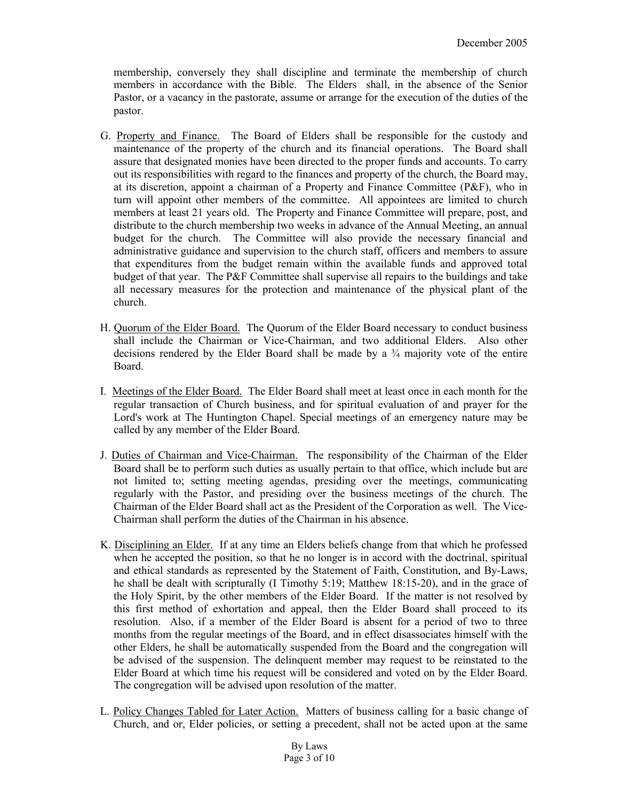membership, conversely they shall discipline and terminate the membership of church members in accordance with the Bible. The Elders shall, in the absence of the Senior Pastor, or a vacancy in the pastorate, assume or arrange for the execution of the duties of the pastor.

- G. Property and Finance. The Board of Elders shall be responsible for the custody and maintenance of the property of the church and its financial operations. The Board shall assure that designated monies have been directed to the proper funds and accounts. To carry out its responsibilities with regard to the finances and property of the church, the Board may, at its discretion, appoint a chairman of a Property and Finance Committee (P&F), who in turn will appoint other members of the committee. All appointees are limited to church members at least 21 years old. The Property and Finance Committee will prepare, post, and distribute to the church membership two weeks in advance of the Annual Meeting, an annual budget for the church. The Committee will also provide the necessary financial and administrative guidance and supervision to the church staff, officers and members to assure that expenditures from the budget remain within the available funds and approved total budget of that year. The P&F Committee shall supervise all repairs to the buildings and take all necessary measures for the protection and maintenance of the physical plant of the church.
- H. Quorum of the Elder Board. The Quorum of the Elder Board necessary to conduct business shall include the Chairman or Vice-Chairman, and two additional Elders. Also other decisions rendered by the Elder Board shall be made by a  $\frac{3}{4}$  majority vote of the entire Board.
- I. Meetings of the Elder Board. The Elder Board shall meet at least once in each month for the regular transaction of Church business, and for spiritual evaluation of and prayer for the Lord's work at The Huntington Chapel. Special meetings of an emergency nature may be called by any member of the Elder Board.
- J. Duties of Chairman and Vice-Chairman. The responsibility of the Chairman of the Elder Board shall be to perform such duties as usually pertain to that office, which include but are not limited to; setting meeting agendas, presiding over the meetings, communicating regularly with the Pastor, and presiding over the business meetings of the church. The Chairman of the Elder Board shall act as the President of the Corporation as well. The Vice-Chairman shall perform the duties of the Chairman in his absence.
- K. Disciplining an Elder. If at any time an Elders beliefs change from that which he professed when he accepted the position, so that he no longer is in accord with the doctrinal, spiritual and ethical standards as represented by the Statement of Faith, Constitution, and By-Laws, he shall be dealt with scripturally (I Timothy 5:19; Matthew 18:15-20), and in the grace of the Holy Spirit, by the other members of the Elder Board. If the matter is not resolved by this first method of exhortation and appeal, then the Elder Board shall proceed to its resolution. Also, if a member of the Elder Board is absent for a period of two to three months from the regular meetings of the Board, and in effect disassociates himself with the other Elders, he shall be automatically suspended from the Board and the congregation will be advised of the suspension. The delinquent member may request to be reinstated to the Elder Board at which time his request will be considered and voted on by the Elder Board. The congregation will be advised upon resolution of the matter.
- L. Policy Changes Tabled for Later Action. Matters of business calling for a basic change of Church, and or, Elder policies, or setting a precedent, shall not be acted upon at the same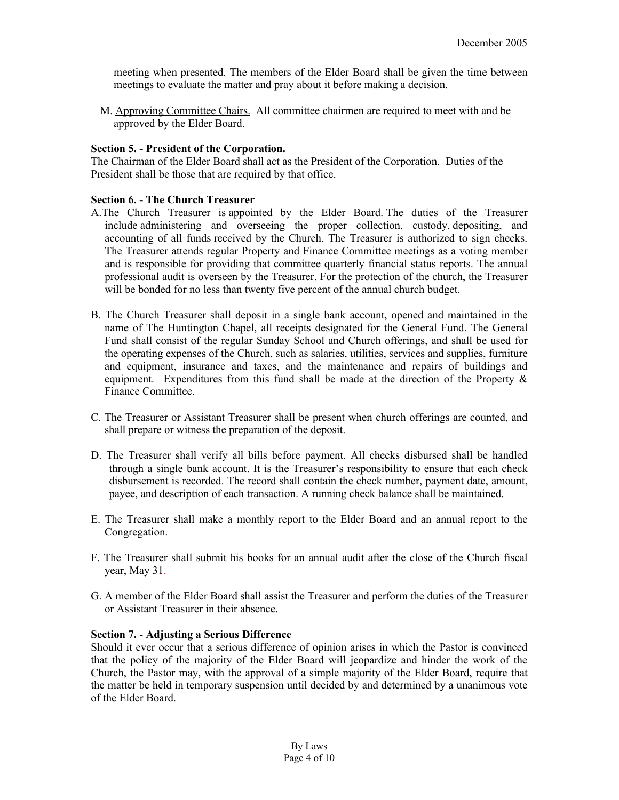meeting when presented. The members of the Elder Board shall be given the time between meetings to evaluate the matter and pray about it before making a decision.

M. Approving Committee Chairs. All committee chairmen are required to meet with and be approved by the Elder Board.

#### **Section 5. - President of the Corporation.**

The Chairman of the Elder Board shall act as the President of the Corporation. Duties of the President shall be those that are required by that office.

#### **Section 6. - The Church Treasurer**

- A.The Church Treasurer is appointed by the Elder Board. The duties of the Treasurer include administering and overseeing the proper collection, custody, depositing, and accounting of all funds received by the Church. The Treasurer is authorized to sign checks. The Treasurer attends regular Property and Finance Committee meetings as a voting member and is responsible for providing that committee quarterly financial status reports. The annual professional audit is overseen by the Treasurer. For the protection of the church, the Treasurer will be bonded for no less than twenty five percent of the annual church budget.
- B. The Church Treasurer shall deposit in a single bank account, opened and maintained in the name of The Huntington Chapel, all receipts designated for the General Fund. The General Fund shall consist of the regular Sunday School and Church offerings, and shall be used for the operating expenses of the Church, such as salaries, utilities, services and supplies, furniture and equipment, insurance and taxes, and the maintenance and repairs of buildings and equipment. Expenditures from this fund shall be made at the direction of the Property  $\&$ Finance Committee.
- C. The Treasurer or Assistant Treasurer shall be present when church offerings are counted, and shall prepare or witness the preparation of the deposit.
- D. The Treasurer shall verify all bills before payment. All checks disbursed shall be handled through a single bank account. It is the Treasurer's responsibility to ensure that each check disbursement is recorded. The record shall contain the check number, payment date, amount, payee, and description of each transaction. A running check balance shall be maintained.
- E. The Treasurer shall make a monthly report to the Elder Board and an annual report to the Congregation.
- F. The Treasurer shall submit his books for an annual audit after the close of the Church fiscal year, May 31.
- G. A member of the Elder Board shall assist the Treasurer and perform the duties of the Treasurer or Assistant Treasurer in their absence.

#### **Section 7.** - **Adjusting a Serious Difference**

Should it ever occur that a serious difference of opinion arises in which the Pastor is convinced that the policy of the majority of the Elder Board will jeopardize and hinder the work of the Church, the Pastor may, with the approval of a simple majority of the Elder Board, require that the matter be held in temporary suspension until decided by and determined by a unanimous vote of the Elder Board.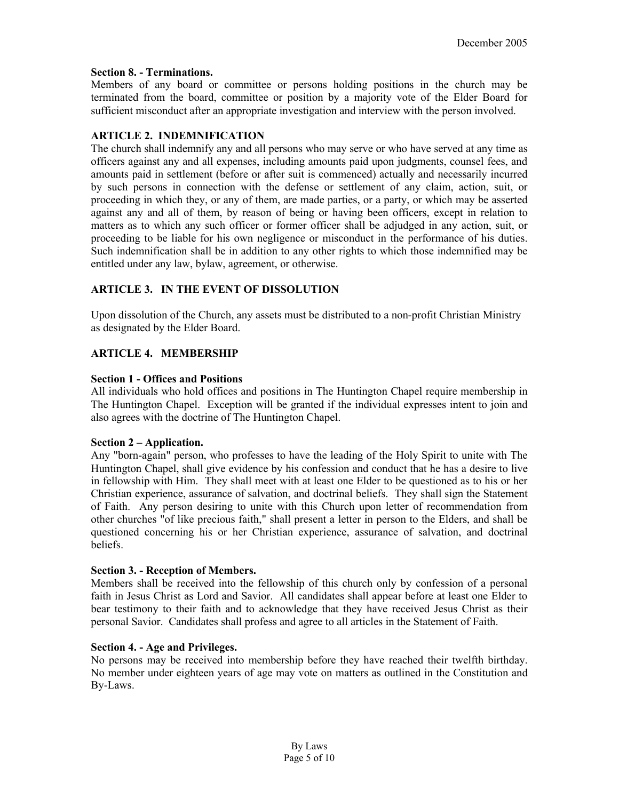### **Section 8. - Terminations.**

Members of any board or committee or persons holding positions in the church may be terminated from the board, committee or position by a majority vote of the Elder Board for sufficient misconduct after an appropriate investigation and interview with the person involved.

### **ARTICLE 2. INDEMNIFICATION**

The church shall indemnify any and all persons who may serve or who have served at any time as officers against any and all expenses, including amounts paid upon judgments, counsel fees, and amounts paid in settlement (before or after suit is commenced) actually and necessarily incurred by such persons in connection with the defense or settlement of any claim, action, suit, or proceeding in which they, or any of them, are made parties, or a party, or which may be asserted against any and all of them, by reason of being or having been officers, except in relation to matters as to which any such officer or former officer shall be adjudged in any action, suit, or proceeding to be liable for his own negligence or misconduct in the performance of his duties. Such indemnification shall be in addition to any other rights to which those indemnified may be entitled under any law, bylaw, agreement, or otherwise.

### **ARTICLE 3. IN THE EVENT OF DISSOLUTION**

Upon dissolution of the Church, any assets must be distributed to a non-profit Christian Ministry as designated by the Elder Board.

### **ARTICLE 4. MEMBERSHIP**

#### **Section 1 - Offices and Positions**

All individuals who hold offices and positions in The Huntington Chapel require membership in The Huntington Chapel. Exception will be granted if the individual expresses intent to join and also agrees with the doctrine of The Huntington Chapel.

### **Section 2 – Application.**

Any "born-again" person, who professes to have the leading of the Holy Spirit to unite with The Huntington Chapel, shall give evidence by his confession and conduct that he has a desire to live in fellowship with Him. They shall meet with at least one Elder to be questioned as to his or her Christian experience, assurance of salvation, and doctrinal beliefs. They shall sign the Statement of Faith. Any person desiring to unite with this Church upon letter of recommendation from other churches "of like precious faith," shall present a letter in person to the Elders, and shall be questioned concerning his or her Christian experience, assurance of salvation, and doctrinal beliefs.

#### **Section 3. - Reception of Members.**

Members shall be received into the fellowship of this church only by confession of a personal faith in Jesus Christ as Lord and Savior. All candidates shall appear before at least one Elder to bear testimony to their faith and to acknowledge that they have received Jesus Christ as their personal Savior. Candidates shall profess and agree to all articles in the Statement of Faith.

### **Section 4. - Age and Privileges.**

No persons may be received into membership before they have reached their twelfth birthday. No member under eighteen years of age may vote on matters as outlined in the Constitution and By-Laws.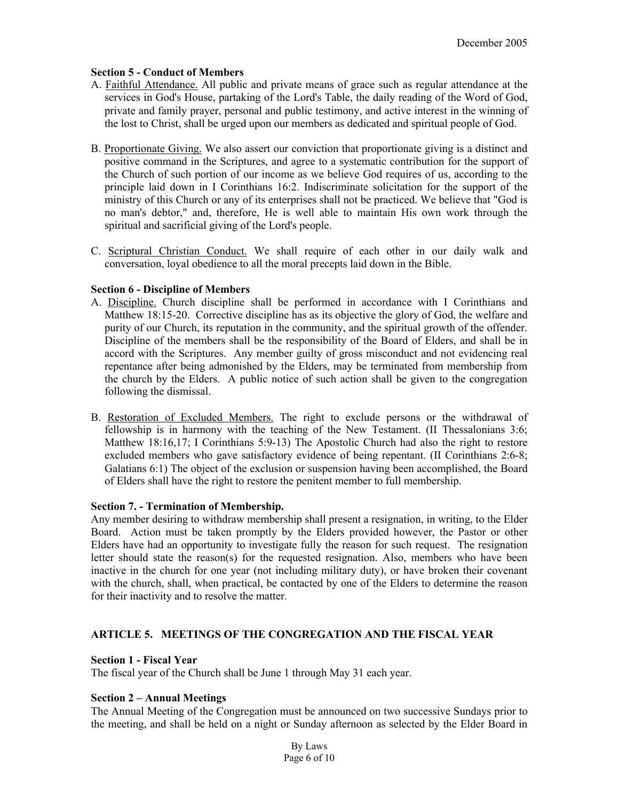### **Section 5 - Conduct of Members**

- A. Faithful Attendance. All public and private means of grace such as regular attendance at the services in God's House, partaking of the Lord's Table, the daily reading of the Word of God, private and family prayer, personal and public testimony, and active interest in the winning of the lost to Christ, shall be urged upon our members as dedicated and spiritual people of God.
- B. Proportionate Giving. We also assert our conviction that proportionate giving is a distinct and positive command in the Scriptures, and agree to a systematic contribution for the support of the Church of such portion of our income as we believe God requires of us, according to the principle laid down in I Corinthians 16:2. Indiscriminate solicitation for the support of the ministry of this Church or any of its enterprises shall not be practiced. We believe that "God is no man's debtor," and, therefore, He is well able to maintain His own work through the spiritual and sacrificial giving of the Lord's people.
- C. Scriptural Christian Conduct. We shall require of each other in our daily walk and conversation, loyal obedience to all the moral precepts laid down in the Bible.

### **Section 6 - Discipline of Members**

- A. Discipline. Church discipline shall be performed in accordance with I Corinthians and Matthew 18:15-20. Corrective discipline has as its objective the glory of God, the welfare and purity of our Church, its reputation in the community, and the spiritual growth of the offender. Discipline of the members shall be the responsibility of the Board of Elders, and shall be in accord with the Scriptures. Any member guilty of gross misconduct and not evidencing real repentance after being admonished by the Elders, may be terminated from membership from the church by the Elders. A public notice of such action shall be given to the congregation following the dismissal.
- B. Restoration of Excluded Members. The right to exclude persons or the withdrawal of fellowship is in harmony with the teaching of the New Testament. (II Thessalonians 3:6; Matthew 18:16,17; I Corinthians 5:9-13) The Apostolic Church had also the right to restore excluded members who gave satisfactory evidence of being repentant. (II Corinthians 2:6-8; Galatians 6:1) The object of the exclusion or suspension having been accomplished, the Board of Elders shall have the right to restore the penitent member to full membership.

### **Section 7. - Termination of Membership.**

Any member desiring to withdraw membership shall present a resignation, in writing, to the Elder Board. Action must be taken promptly by the Elders provided however, the Pastor or other Elders have had an opportunity to investigate fully the reason for such request. The resignation letter should state the reason(s) for the requested resignation. Also, members who have been inactive in the church for one year (not including military duty), or have broken their covenant with the church, shall, when practical, be contacted by one of the Elders to determine the reason for their inactivity and to resolve the matter.

### **ARTICLE 5. MEETINGS OF THE CONGREGATION AND THE FISCAL YEAR**

### **Section 1 - Fiscal Year**

The fiscal year of the Church shall be June 1 through May 31 each year.

### **Section 2 – Annual Meetings**

The Annual Meeting of the Congregation must be announced on two successive Sundays prior to the meeting, and shall be held on a night or Sunday afternoon as selected by the Elder Board in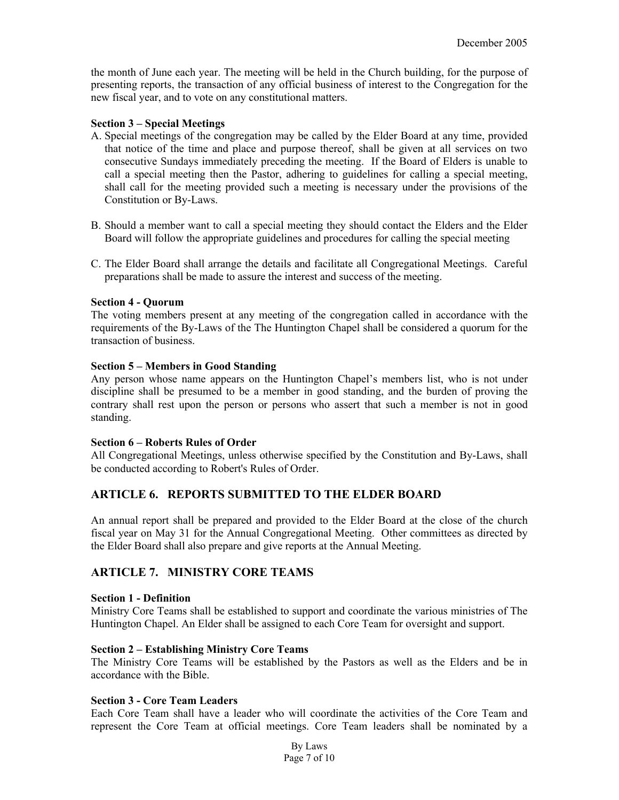the month of June each year. The meeting will be held in the Church building, for the purpose of presenting reports, the transaction of any official business of interest to the Congregation for the new fiscal year, and to vote on any constitutional matters.

#### **Section 3 – Special Meetings**

- A. Special meetings of the congregation may be called by the Elder Board at any time, provided that notice of the time and place and purpose thereof, shall be given at all services on two consecutive Sundays immediately preceding the meeting. If the Board of Elders is unable to call a special meeting then the Pastor, adhering to guidelines for calling a special meeting, shall call for the meeting provided such a meeting is necessary under the provisions of the Constitution or By-Laws.
- B. Should a member want to call a special meeting they should contact the Elders and the Elder Board will follow the appropriate guidelines and procedures for calling the special meeting
- C. The Elder Board shall arrange the details and facilitate all Congregational Meetings. Careful preparations shall be made to assure the interest and success of the meeting.

#### **Section 4 - Quorum**

The voting members present at any meeting of the congregation called in accordance with the requirements of the By-Laws of the The Huntington Chapel shall be considered a quorum for the transaction of business.

#### **Section 5 – Members in Good Standing**

Any person whose name appears on the Huntington Chapel's members list, who is not under discipline shall be presumed to be a member in good standing, and the burden of proving the contrary shall rest upon the person or persons who assert that such a member is not in good standing.

#### **Section 6 – Roberts Rules of Order**

All Congregational Meetings, unless otherwise specified by the Constitution and By-Laws, shall be conducted according to Robert's Rules of Order.

# **ARTICLE 6. REPORTS SUBMITTED TO THE ELDER BOARD**

An annual report shall be prepared and provided to the Elder Board at the close of the church fiscal year on May 31 for the Annual Congregational Meeting. Other committees as directed by the Elder Board shall also prepare and give reports at the Annual Meeting.

# **ARTICLE 7. MINISTRY CORE TEAMS**

#### **Section 1 - Definition**

Ministry Core Teams shall be established to support and coordinate the various ministries of The Huntington Chapel. An Elder shall be assigned to each Core Team for oversight and support.

### **Section 2 – Establishing Ministry Core Teams**

The Ministry Core Teams will be established by the Pastors as well as the Elders and be in accordance with the Bible.

### **Section 3 - Core Team Leaders**

Each Core Team shall have a leader who will coordinate the activities of the Core Team and represent the Core Team at official meetings. Core Team leaders shall be nominated by a

> By Laws Page 7 of 10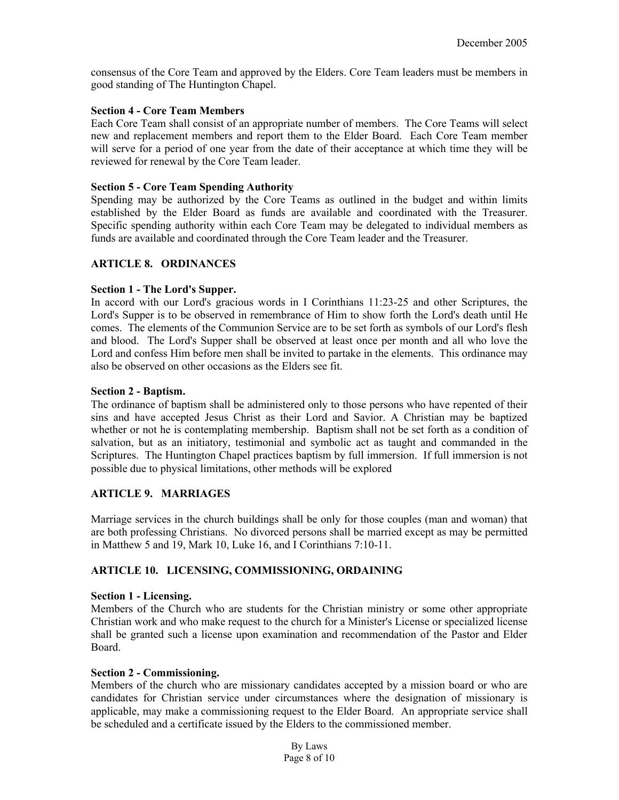consensus of the Core Team and approved by the Elders. Core Team leaders must be members in good standing of The Huntington Chapel.

#### **Section 4 - Core Team Members**

Each Core Team shall consist of an appropriate number of members. The Core Teams will select new and replacement members and report them to the Elder Board. Each Core Team member will serve for a period of one year from the date of their acceptance at which time they will be reviewed for renewal by the Core Team leader.

#### **Section 5 - Core Team Spending Authority**

Spending may be authorized by the Core Teams as outlined in the budget and within limits established by the Elder Board as funds are available and coordinated with the Treasurer. Specific spending authority within each Core Team may be delegated to individual members as funds are available and coordinated through the Core Team leader and the Treasurer.

### **ARTICLE 8. ORDINANCES**

### **Section 1 - The Lord's Supper.**

In accord with our Lord's gracious words in I Corinthians 11:23-25 and other Scriptures, the Lord's Supper is to be observed in remembrance of Him to show forth the Lord's death until He comes. The elements of the Communion Service are to be set forth as symbols of our Lord's flesh and blood. The Lord's Supper shall be observed at least once per month and all who love the Lord and confess Him before men shall be invited to partake in the elements. This ordinance may also be observed on other occasions as the Elders see fit.

#### **Section 2 - Baptism.**

The ordinance of baptism shall be administered only to those persons who have repented of their sins and have accepted Jesus Christ as their Lord and Savior. A Christian may be baptized whether or not he is contemplating membership. Baptism shall not be set forth as a condition of salvation, but as an initiatory, testimonial and symbolic act as taught and commanded in the Scriptures. The Huntington Chapel practices baptism by full immersion. If full immersion is not possible due to physical limitations, other methods will be explored

### **ARTICLE 9. MARRIAGES**

Marriage services in the church buildings shall be only for those couples (man and woman) that are both professing Christians. No divorced persons shall be married except as may be permitted in Matthew 5 and 19, Mark 10, Luke 16, and I Corinthians 7:10-11.

### **ARTICLE 10. LICENSING, COMMISSIONING, ORDAINING**

### **Section 1 - Licensing.**

Members of the Church who are students for the Christian ministry or some other appropriate Christian work and who make request to the church for a Minister's License or specialized license shall be granted such a license upon examination and recommendation of the Pastor and Elder Board.

#### **Section 2 - Commissioning.**

Members of the church who are missionary candidates accepted by a mission board or who are candidates for Christian service under circumstances where the designation of missionary is applicable, may make a commissioning request to the Elder Board. An appropriate service shall be scheduled and a certificate issued by the Elders to the commissioned member.

> By Laws Page 8 of 10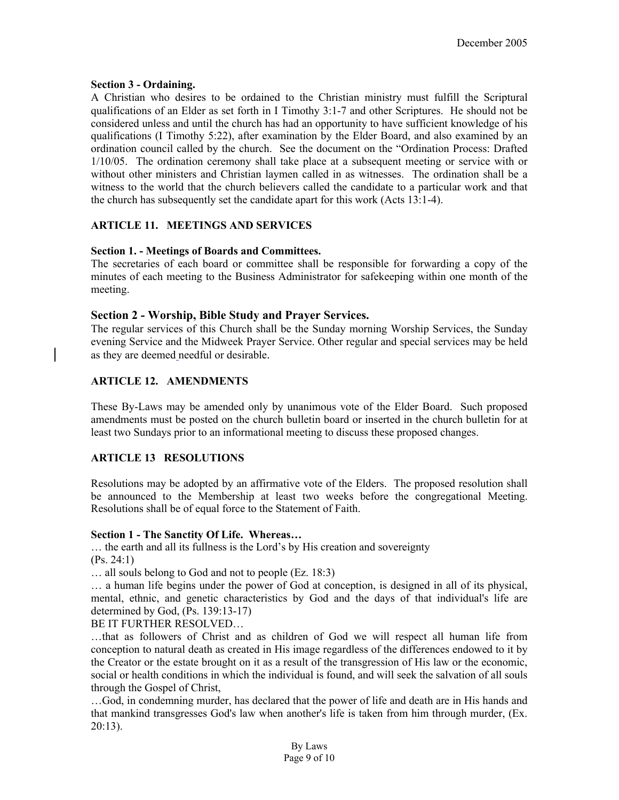### **Section 3 - Ordaining.**

A Christian who desires to be ordained to the Christian ministry must fulfill the Scriptural qualifications of an Elder as set forth in I Timothy 3:1-7 and other Scriptures. He should not be considered unless and until the church has had an opportunity to have sufficient knowledge of his qualifications (I Timothy 5:22), after examination by the Elder Board, and also examined by an ordination council called by the church. See the document on the "Ordination Process: Drafted 1/10/05. The ordination ceremony shall take place at a subsequent meeting or service with or without other ministers and Christian laymen called in as witnesses. The ordination shall be a witness to the world that the church believers called the candidate to a particular work and that the church has subsequently set the candidate apart for this work (Acts 13:1-4).

# **ARTICLE 11. MEETINGS AND SERVICES**

### **Section 1. - Meetings of Boards and Committees.**

The secretaries of each board or committee shall be responsible for forwarding a copy of the minutes of each meeting to the Business Administrator for safekeeping within one month of the meeting.

# **Section 2 - Worship, Bible Study and Prayer Services.**

The regular services of this Church shall be the Sunday morning Worship Services, the Sunday evening Service and the Midweek Prayer Service. Other regular and special services may be held as they are deemed needful or desirable.

# **ARTICLE 12. AMENDMENTS**

These By-Laws may be amended only by unanimous vote of the Elder Board. Such proposed amendments must be posted on the church bulletin board or inserted in the church bulletin for at least two Sundays prior to an informational meeting to discuss these proposed changes.

# **ARTICLE 13 RESOLUTIONS**

Resolutions may be adopted by an affirmative vote of the Elders. The proposed resolution shall be announced to the Membership at least two weeks before the congregational Meeting. Resolutions shall be of equal force to the Statement of Faith.

### **Section 1 - The Sanctity Of Life. Whereas…**

… the earth and all its fullness is the Lord's by His creation and sovereignty (Ps. 24:1)

… all souls belong to God and not to people (Ez. 18:3)

… a human life begins under the power of God at conception, is designed in all of its physical, mental, ethnic, and genetic characteristics by God and the days of that individual's life are determined by God, (Ps. 139:13-17)

BE IT FURTHER RESOLVED…

…that as followers of Christ and as children of God we will respect all human life from conception to natural death as created in His image regardless of the differences endowed to it by the Creator or the estate brought on it as a result of the transgression of His law or the economic, social or health conditions in which the individual is found, and will seek the salvation of all souls through the Gospel of Christ,

…God, in condemning murder, has declared that the power of life and death are in His hands and that mankind transgresses God's law when another's life is taken from him through murder, (Ex. 20:13).